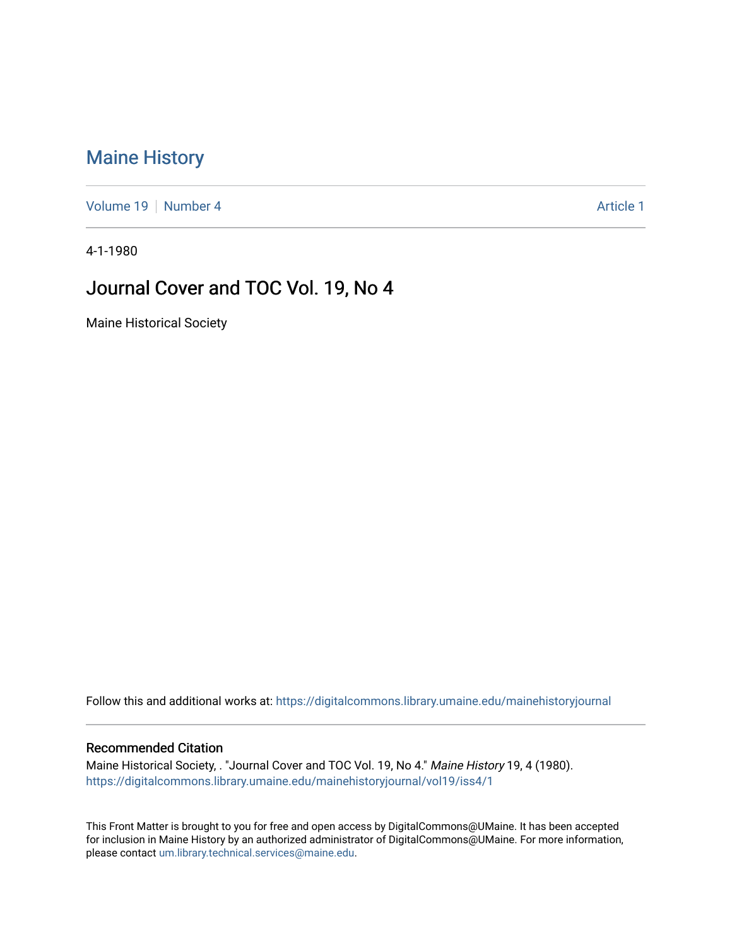# [Maine History](https://digitalcommons.library.umaine.edu/mainehistoryjournal)

[Volume 19](https://digitalcommons.library.umaine.edu/mainehistoryjournal/vol19) [Number 4](https://digitalcommons.library.umaine.edu/mainehistoryjournal/vol19/iss4) Article 1

4-1-1980

### Journal Cover and TOC Vol. 19, No 4

Maine Historical Society

Follow this and additional works at: [https://digitalcommons.library.umaine.edu/mainehistoryjournal](https://digitalcommons.library.umaine.edu/mainehistoryjournal?utm_source=digitalcommons.library.umaine.edu%2Fmainehistoryjournal%2Fvol19%2Fiss4%2F1&utm_medium=PDF&utm_campaign=PDFCoverPages) 

#### Recommended Citation

Maine Historical Society, . "Journal Cover and TOC Vol. 19, No 4." Maine History 19, 4 (1980). [https://digitalcommons.library.umaine.edu/mainehistoryjournal/vol19/iss4/1](https://digitalcommons.library.umaine.edu/mainehistoryjournal/vol19/iss4/1?utm_source=digitalcommons.library.umaine.edu%2Fmainehistoryjournal%2Fvol19%2Fiss4%2F1&utm_medium=PDF&utm_campaign=PDFCoverPages)

This Front Matter is brought to you for free and open access by DigitalCommons@UMaine. It has been accepted for inclusion in Maine History by an authorized administrator of DigitalCommons@UMaine. For more information, please contact [um.library.technical.services@maine.edu.](mailto:um.library.technical.services@maine.edu)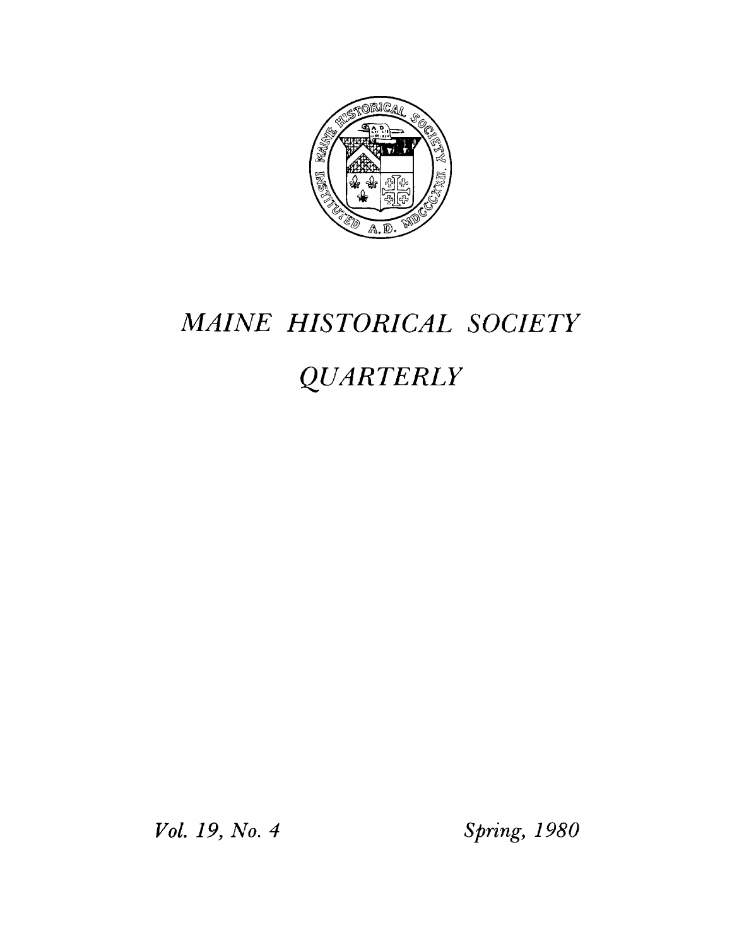

# *MAINE HISTORICAL SOCIETY*

# *QUARTERLY*

*Vol. 19, No. 4 Spring, 1980*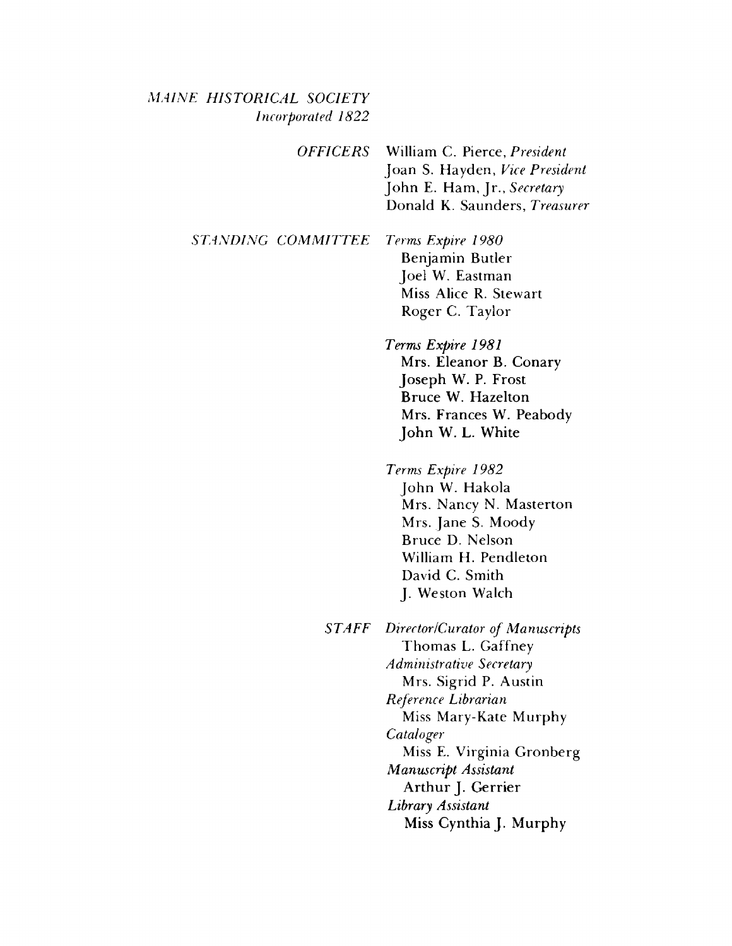#### *M AINE HISTORICAL SOCIETY Incorporated 1822*

*OFFICERS* William C. Pierce, *President* Joan S. Hayden, *Vice President* John E. Ham, Jr., Secretary Donald K. Saunders, *Treasurer*

**STANDING COMMITTEE** Terms Expire 1980 Benjamin Butler Joel W. Eastman Miss Alice R. Stewart Roger C. Taylor

> *Terms Expire 1981* Mrs. Eleanor B. Conary Joseph W. P. Frost Bruce W. Hazelton Mrs. Frances W. Peabody John W. L. White

> *Terms Expire 1982* John W. Hakola Mrs. Nancy N. Masterton Mrs. Jane S. Moody Bruce D. Nelson William H. Pendleton David C. Smith J. Weston Walch

*STAFF Director /Curator of Manuscripts* Thomas L. Gaffney *Administrative Secretary* Mrs. Sigrid P. Austin *Reference Librarian* Miss Mary-Kate Murphy *Cataloger* Miss E. Virginia Gronberg *Manuscript Assistant* Arthur J. Gerrier *Library Assistant* Miss Cynthia J. Murphy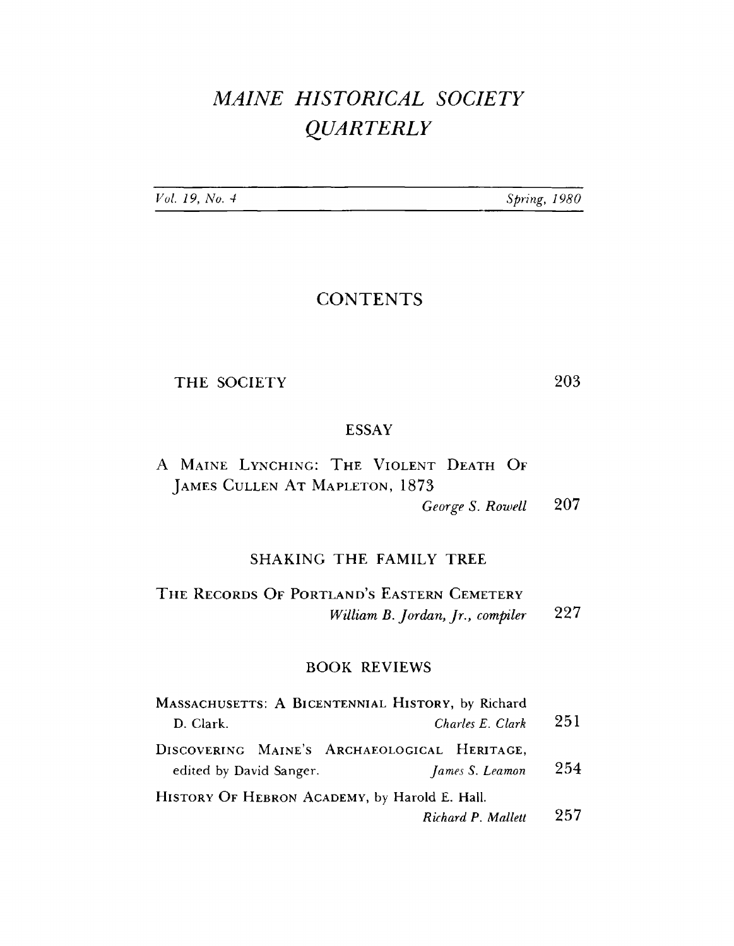# *MAINE HISTORICAL SOCIETY QUARTERLY*

| Vol. 19, No. 4 |  |  |
|----------------|--|--|
|                |  |  |

*Vul. 19, No. 4 Spring***,** *1980*

### **CONTENTS**

THE SOCIETY 203

#### ESSAY

A MAINE LYNCHING: THE VIOLENT DEATH OF **J ames Cullen At Mapleton,** 1873

*George S. Rowell* 207

#### SHAKING THE FAMILY TREE

**T he Records** Of **Portland's Eastern Cemetery** *William B. Jordan, Jr., compiler* 227

#### BOOK REVIEWS

| MASSACHUSETTS: A BICENTENNIAL HISTORY, by Richard                                          |     |
|--------------------------------------------------------------------------------------------|-----|
| Charles E. Clark<br>D. Clark.                                                              | 251 |
| DISCOVERING MAINE'S ARCHAEOLOGICAL HERITAGE,<br>edited by David Sanger.<br>James S. Leamon | 254 |
| HISTORY OF HEBRON ACADEMY, by Harold E. Hall.<br>Richard P. Mallett                        | 257 |
|                                                                                            |     |